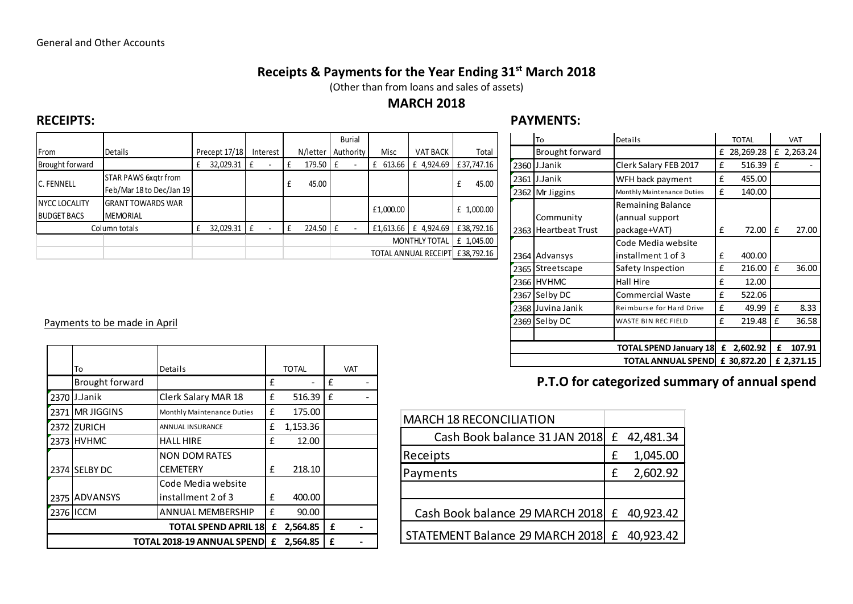### Receipts & Payments for the Year Ending 31<sup>st</sup> March 2018

(Other than from loans and sales of assets)

### MARCH 2018

### RECEIPTS: PAYMENTS:

|                    |                             |               |   |          |  |          |                      | <b>Burial</b> |  |           |                              |       |            |
|--------------------|-----------------------------|---------------|---|----------|--|----------|----------------------|---------------|--|-----------|------------------------------|-------|------------|
| From               | <b>Details</b>              | Precept 17/18 |   | Interest |  | N/letter |                      | Authority     |  | Misc      | <b>VAT BACK</b>              |       | Total      |
| Brought forward    |                             | 32,029.31     | £ |          |  | 179.50   | ١£                   |               |  | £ 613.66  | £ 4,924.69                   |       | £37,747.16 |
| C. FENNELL         | <b>STAR PAWS 6xgtr from</b> |               |   |          |  | 45.00    |                      |               |  |           | £                            | 45.00 |            |
|                    | Feb/Mar 18 to Dec/Jan 19    |               |   |          |  |          |                      |               |  |           |                              |       |            |
| NYCC LOCALITY      | <b>GRANT TOWARDS WAR</b>    |               |   |          |  |          |                      |               |  | £1,000.00 |                              |       | £ 1,000.00 |
| <b>BUDGET BACS</b> | <b>MEMORIAL</b>             |               |   |          |  |          |                      |               |  |           |                              |       |            |
| Column totals      |                             | 32,029.31     | £ |          |  | 224.50   | Ι£                   |               |  | £1,613.66 | £ 4,924.69                   |       | £38,792.16 |
|                    |                             |               |   |          |  |          | <b>MONTHLY TOTAL</b> |               |  |           | £ 1,045.00                   |       |            |
|                    |                             |               |   |          |  |          |                      |               |  |           | <b>TOTAL ANNUAL RECEIPTI</b> |       | £38,792.16 |

|      | To                     | Details                            |             | <b>TOTAL</b> |            | <b>VAT</b> |
|------|------------------------|------------------------------------|-------------|--------------|------------|------------|
|      | <b>Brought forward</b> |                                    | £           | 28,269.28    | £          | 2,263.24   |
| 2360 | J.Janik                | Clerk Salary FEB 2017              | £           | 516.39       | £          |            |
| 2361 | J.Janik                | WFH back payment                   | £           | 455.00       |            |            |
| 2362 | Mr Jiggins             | Monthly Maintenance Duties         | £           | 140.00       |            |            |
|      |                        | Remaining Balance                  |             |              |            |            |
|      | Community              | (annual support                    |             |              |            |            |
| 2363 | <b>Heartbeat Trust</b> | package+VAT)                       | f           | 72.00        | £          | 27.00      |
|      |                        | Code Media website                 |             |              |            |            |
| 2364 | Advansys               | installment 1 of 3                 | £           | 400.00       |            |            |
| 2365 | Streetscape            | Safety Inspection                  | £           | 216.00       | £          | 36.00      |
| 2366 | <b>HVHMC</b>           | Hall Hire                          | £           | 12.00        |            |            |
| 2367 | Selby DC               | <b>Commercial Waste</b>            | £           | 522.06       |            |            |
| 2368 | Juvina Janik           | Reimburse for Hard Drive           | £           | 49.99        | £          | 8.33       |
| 2369 | Selby DC               | <b>WASTE BIN REC FIELD</b>         | £           | 219.48       | £          | 36.58      |
|      |                        |                                    |             |              |            |            |
|      |                        | <b>TOTAL SPEND January 18</b><br>£ | 2,602.92    | £            | 107.91     |            |
|      |                        | <b>TOTAL ANNUAL SPEND</b>          | £ 30,872.20 |              | £ 2,371.15 |            |

# P.T.O for categorized summary of annual spend

| <b>MARCH 18 RECONCILIATION</b>  |   |             |
|---------------------------------|---|-------------|
| Cash Book balance 31 JAN 2018   |   | £ 42,481.34 |
| Receipts                        | £ | 1,045.00    |
| Payments                        | £ | 2,602.92    |
|                                 |   |             |
| Cash Book balance 29 MARCH 2018 |   | £ 40,923.42 |
| STATEMENT Balance 29 MARCH 2018 | £ | 40,923.42   |

#### Payments to be made in April

|                 |                                   |   |              |   |            |                                   | <b>TOTAL SPEND January 18</b> |  |
|-----------------|-----------------------------------|---|--------------|---|------------|-----------------------------------|-------------------------------|--|
| To              | Details                           |   | <b>TOTAL</b> |   | <b>VAT</b> |                                   | <b>TOTAL ANNUAL SPEND</b>     |  |
| Brought forward |                                   |   |              |   |            | P.T.O for categorized summar      |                               |  |
| $2370$ J.Janik  | Clerk Salary MAR 18               |   | $516.39$ E   |   |            |                                   |                               |  |
| 2371 MR JIGGINS | Monthly Maintenance Duties        | £ | 175.00       |   |            | <b>MARCH 18 RECONCILIATION</b>    |                               |  |
| 2372 ZURICH     | ANNUAL INSURANCE                  | £ | 1,153.36     |   |            | Cash Book balance 31 JAN 2018 E   | 42,481.34                     |  |
| $72373$ HVHMC   | <b>HALL HIRE</b>                  |   | 12.00        |   |            |                                   |                               |  |
|                 | INON DOM RATES                    |   |              |   |            | Receipts                          | 1,045.00                      |  |
| 2374 SELBY DC   | CEMETERY                          |   | 218.10       |   |            | Payments                          | 2,602.92                      |  |
|                 | Code Media website                |   |              |   |            |                                   |                               |  |
| 2375 ADVANSYS   | linstallment 2 of 3               |   | 400.00       |   |            |                                   |                               |  |
| 2376 ICCM       | IANNUAL MEMBERSHIP                |   | 90.00        |   |            | Cash Book balance 29 MARCH 2018 E | 40,923.42                     |  |
|                 | <b>TOTAL SPEND APRIL 18</b>       | £ | 2,564.85     | £ |            |                                   |                               |  |
|                 | <b>TOTAL 2018-19 ANNUAL SPEND</b> | £ | 2,564.85     | £ |            | STATEMENT Balance 29 MARCH 2018 E | 40,923.42                     |  |